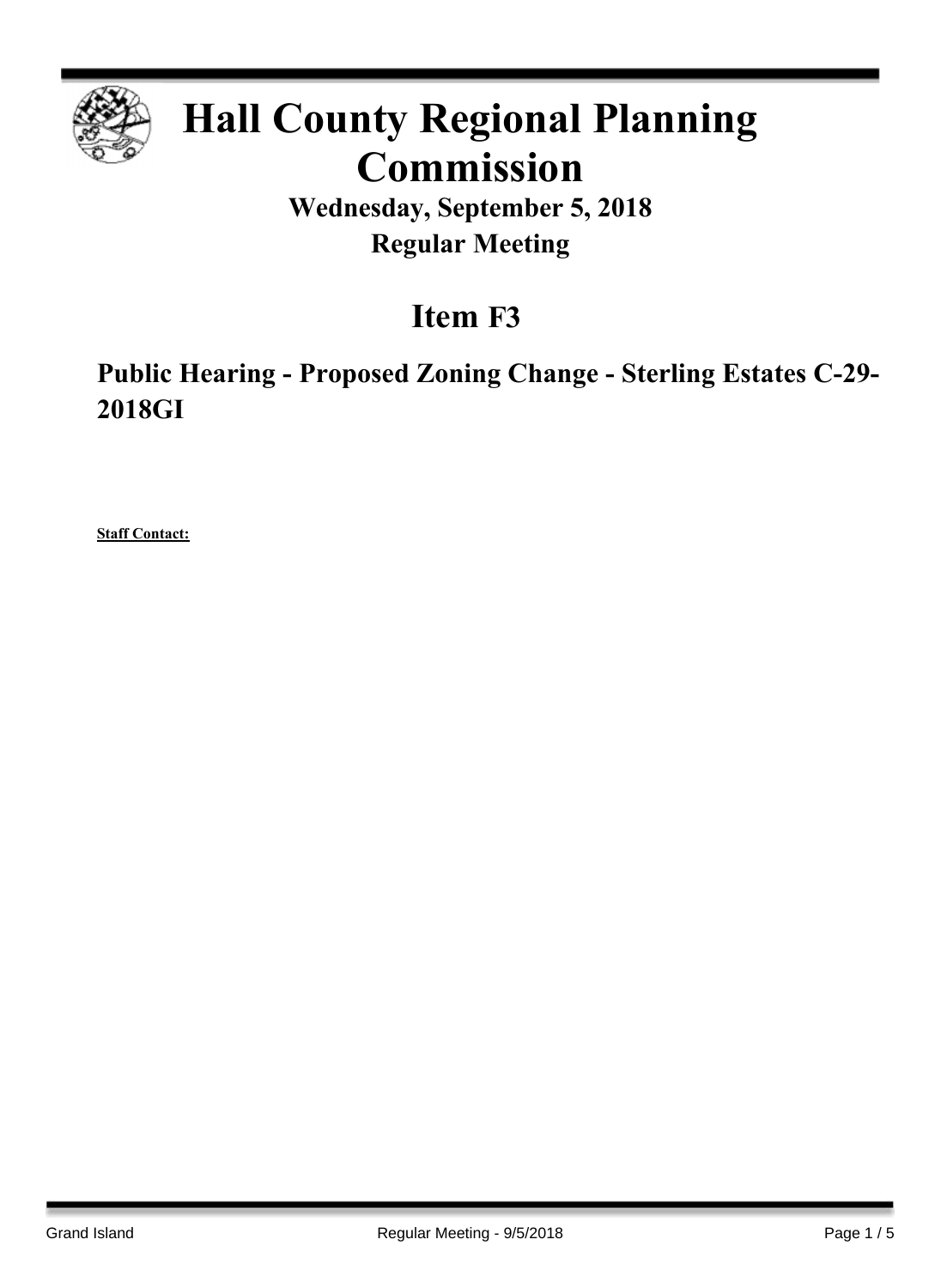

# **Hall County Regional Planning Commission**

**Wednesday, September 5, 2018 Regular Meeting**

# **Item F3**

**Public Hearing - Proposed Zoning Change - Sterling Estates C-29- 2018GI**

**Staff Contact:**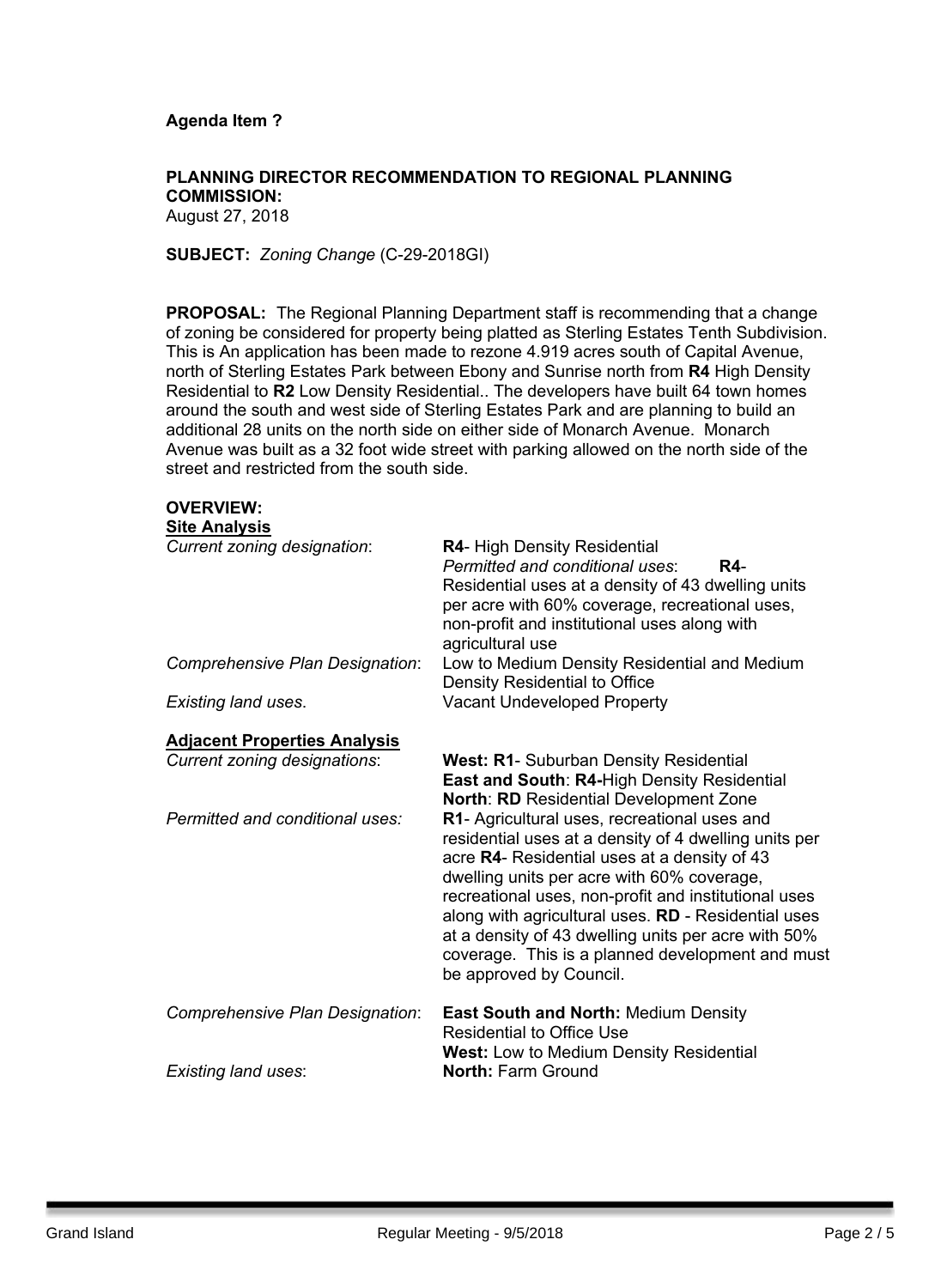### **Agenda Item ?**

# **PLANNING DIRECTOR RECOMMENDATION TO REGIONAL PLANNING COMMISSION:**

August 27, 2018

**OVERVIEW:**

**SUBJECT:** *Zoning Change* (C-29-2018GI)

**PROPOSAL:** The Regional Planning Department staff is recommending that a change of zoning be considered for property being platted as Sterling Estates Tenth Subdivision. This is An application has been made to rezone 4.919 acres south of Capital Avenue, north of Sterling Estates Park between Ebony and Sunrise north from **R4** High Density Residential to **R2** Low Density Residential.. The developers have built 64 town homes around the south and west side of Sterling Estates Park and are planning to build an additional 28 units on the north side on either side of Monarch Avenue. Monarch Avenue was built as a 32 foot wide street with parking allowed on the north side of the street and restricted from the south side.

| – • LIV IL IV                       |                                                                                                                                                                                                                                                                                                                                                                                                                                                          |
|-------------------------------------|----------------------------------------------------------------------------------------------------------------------------------------------------------------------------------------------------------------------------------------------------------------------------------------------------------------------------------------------------------------------------------------------------------------------------------------------------------|
| <b>Site Analysis</b>                |                                                                                                                                                                                                                                                                                                                                                                                                                                                          |
| Current zoning designation:         | R4- High Density Residential<br>Permitted and conditional uses:<br><b>R4-</b><br>Residential uses at a density of 43 dwelling units<br>per acre with 60% coverage, recreational uses,<br>non-profit and institutional uses along with<br>agricultural use                                                                                                                                                                                                |
| Comprehensive Plan Designation:     | Low to Medium Density Residential and Medium<br>Density Residential to Office                                                                                                                                                                                                                                                                                                                                                                            |
| Existing land uses.                 | <b>Vacant Undeveloped Property</b>                                                                                                                                                                                                                                                                                                                                                                                                                       |
| <b>Adjacent Properties Analysis</b> |                                                                                                                                                                                                                                                                                                                                                                                                                                                          |
| <b>Current zoning designations:</b> | <b>West: R1- Suburban Density Residential</b><br>East and South: R4-High Density Residential<br><b>North: RD Residential Development Zone</b>                                                                                                                                                                                                                                                                                                            |
| Permitted and conditional uses:     | R1- Agricultural uses, recreational uses and<br>residential uses at a density of 4 dwelling units per<br>acre R4- Residential uses at a density of 43<br>dwelling units per acre with 60% coverage,<br>recreational uses, non-profit and institutional uses<br>along with agricultural uses. RD - Residential uses<br>at a density of 43 dwelling units per acre with 50%<br>coverage. This is a planned development and must<br>be approved by Council. |
| Comprehensive Plan Designation:     | <b>East South and North: Medium Density</b><br><b>Residential to Office Use</b><br><b>West:</b> Low to Medium Density Residential                                                                                                                                                                                                                                                                                                                        |
| <b>Existing land uses:</b>          | <b>North: Farm Ground</b>                                                                                                                                                                                                                                                                                                                                                                                                                                |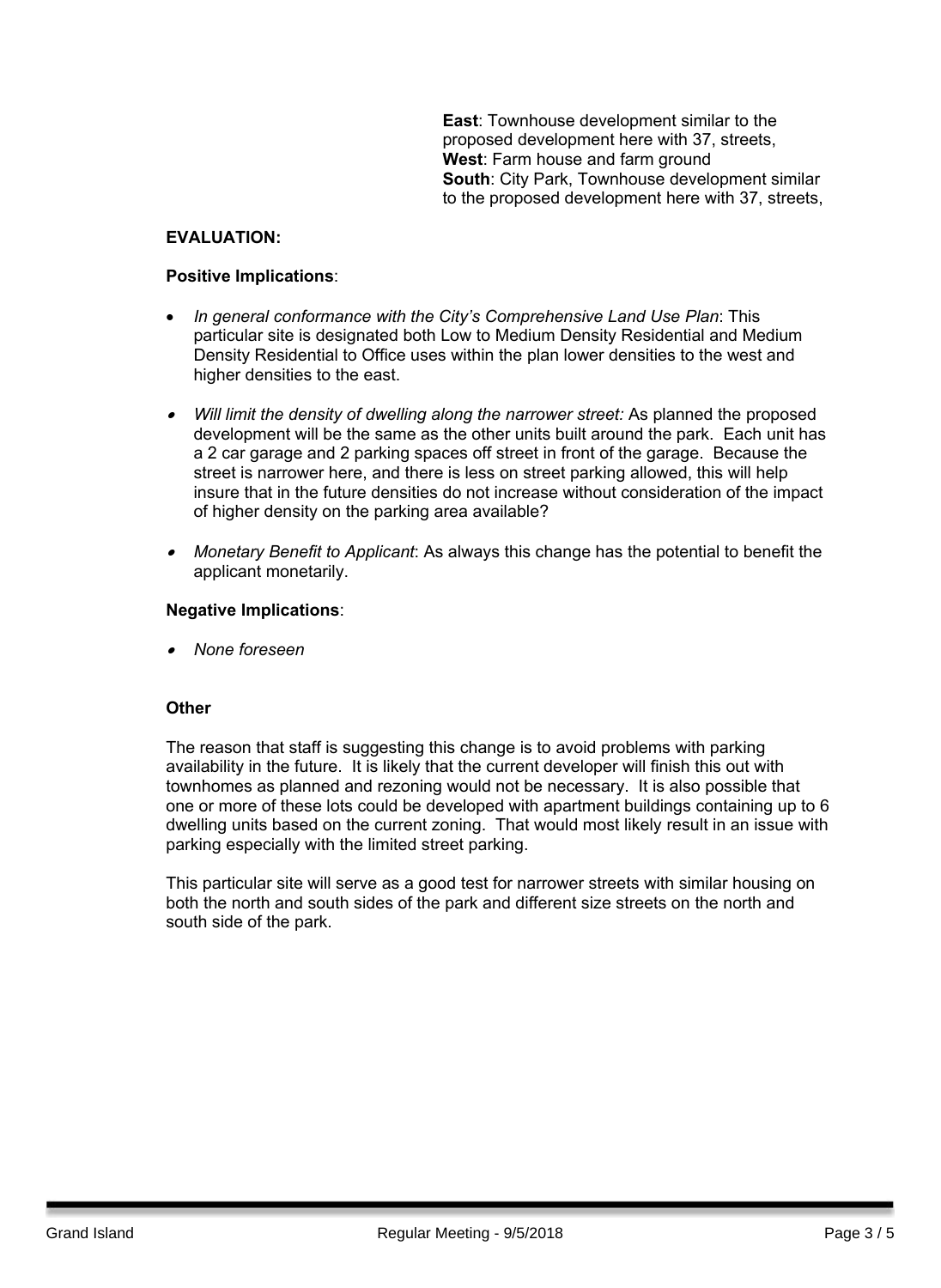**East**: Townhouse development similar to the proposed development here with 37, streets, **West**: Farm house and farm ground **South**: City Park, Townhouse development similar to the proposed development here with 37, streets,

# **EVALUATION:**

#### **Positive Implications**:

- *In general conformance with the City's Comprehensive Land Use Plan*: This particular site is designated both Low to Medium Density Residential and Medium Density Residential to Office uses within the plan lower densities to the west and higher densities to the east.
- *Will limit the density of dwelling along the narrower street:* As planned the proposed development will be the same as the other units built around the park. Each unit has a 2 car garage and 2 parking spaces off street in front of the garage. Because the street is narrower here, and there is less on street parking allowed, this will help insure that in the future densities do not increase without consideration of the impact of higher density on the parking area available?
- *Monetary Benefit to Applicant*: As always this change has the potential to benefit the applicant monetarily.

#### **Negative Implications**:

. *None foreseen*

### **Other**

The reason that staff is suggesting this change is to avoid problems with parking availability in the future. It is likely that the current developer will finish this out with townhomes as planned and rezoning would not be necessary. It is also possible that one or more of these lots could be developed with apartment buildings containing up to 6 dwelling units based on the current zoning. That would most likely result in an issue with parking especially with the limited street parking.

This particular site will serve as a good test for narrower streets with similar housing on both the north and south sides of the park and different size streets on the north and south side of the park.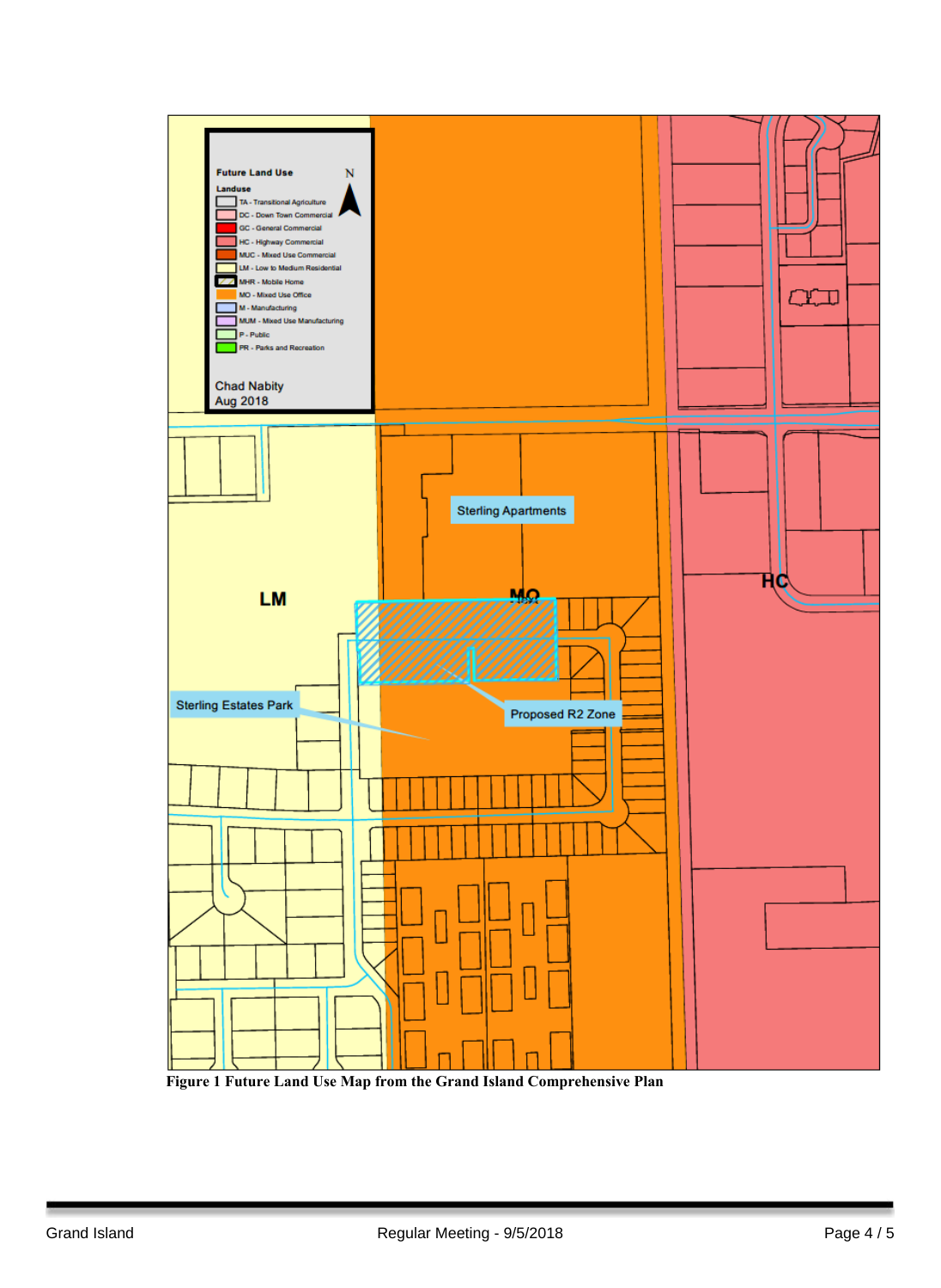

**Figure 1 Future Land Use Map from the Grand Island Comprehensive Plan**